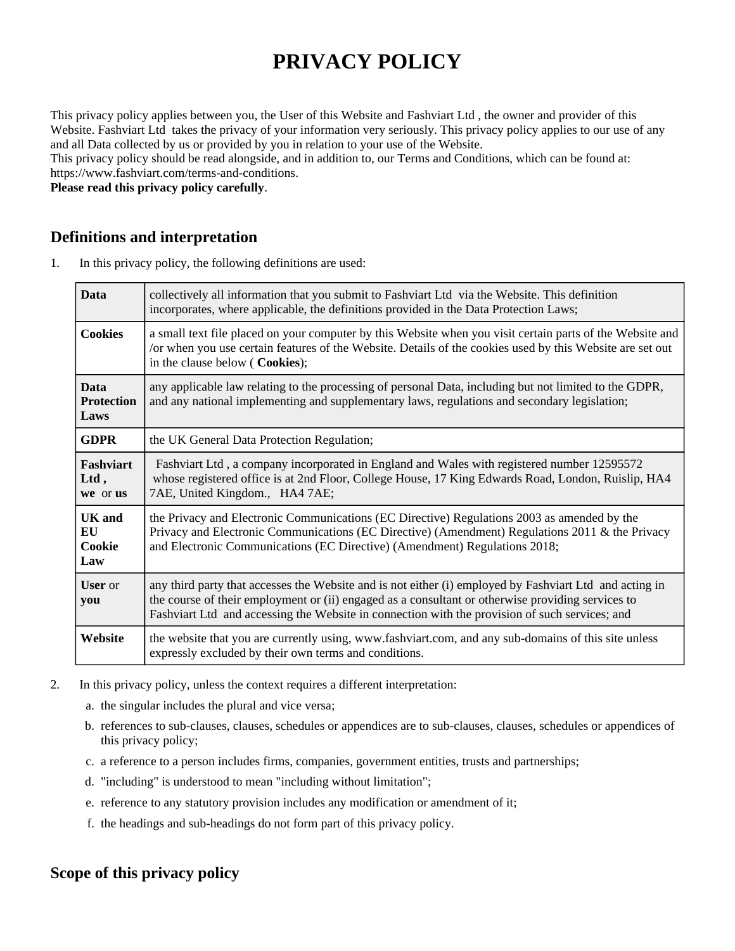# **PRIVACY POLICY**

This privacy policy applies between you, the User of this Website and Fashviart Ltd , the owner and provider of this Website. Fashviart Ltd takes the privacy of your information very seriously. This privacy policy applies to our use of any and all Data collected by us or provided by you in relation to your use of the Website.

This privacy policy should be read alongside, and in addition to, our Terms and Conditions, which can be found at: https://www.fashviart.com/terms-and-conditions.

**Please read this privacy policy carefully**.

## **Definitions and interpretation**

1. In this privacy policy, the following definitions are used:

| <b>Data</b>                              | collectively all information that you submit to Fashviart Ltd via the Website. This definition<br>incorporates, where applicable, the definitions provided in the Data Protection Laws;                                                                                                                        |  |
|------------------------------------------|----------------------------------------------------------------------------------------------------------------------------------------------------------------------------------------------------------------------------------------------------------------------------------------------------------------|--|
| <b>Cookies</b>                           | a small text file placed on your computer by this Website when you visit certain parts of the Website and<br>/or when you use certain features of the Website. Details of the cookies used by this Website are set out<br>in the clause below (Cookies);                                                       |  |
| <b>Data</b><br><b>Protection</b><br>Laws | any applicable law relating to the processing of personal Data, including but not limited to the GDPR,<br>and any national implementing and supplementary laws, regulations and secondary legislation;                                                                                                         |  |
| <b>GDPR</b>                              | the UK General Data Protection Regulation;                                                                                                                                                                                                                                                                     |  |
| <b>Fashviart</b><br>Ltd,<br>we or us     | Fashviart Ltd, a company incorporated in England and Wales with registered number 12595572<br>whose registered office is at 2nd Floor, College House, 17 King Edwards Road, London, Ruislip, HA4<br>7AE, United Kingdom., HA4 7AE;                                                                             |  |
| <b>UK</b> and<br>EU<br>Cookie<br>Law     | the Privacy and Electronic Communications (EC Directive) Regulations 2003 as amended by the<br>Privacy and Electronic Communications (EC Directive) (Amendment) Regulations 2011 & the Privacy<br>and Electronic Communications (EC Directive) (Amendment) Regulations 2018;                                   |  |
| <b>User</b> or<br>you                    | any third party that accesses the Website and is not either (i) employed by Fashviart Ltd and acting in<br>the course of their employment or (ii) engaged as a consultant or otherwise providing services to<br>Fashviart Ltd and accessing the Website in connection with the provision of such services; and |  |
| Website                                  | the website that you are currently using, www.fashviart.com, and any sub-domains of this site unless<br>expressly excluded by their own terms and conditions.                                                                                                                                                  |  |

- 2. In this privacy policy, unless the context requires a different interpretation:
	- a. the singular includes the plural and vice versa;
	- b. references to sub-clauses, clauses, schedules or appendices are to sub-clauses, clauses, schedules or appendices of this privacy policy;
	- c. a reference to a person includes firms, companies, government entities, trusts and partnerships;
	- d. "including" is understood to mean "including without limitation";
	- e. reference to any statutory provision includes any modification or amendment of it;
	- f. the headings and sub-headings do not form part of this privacy policy.

## **Scope of this privacy policy**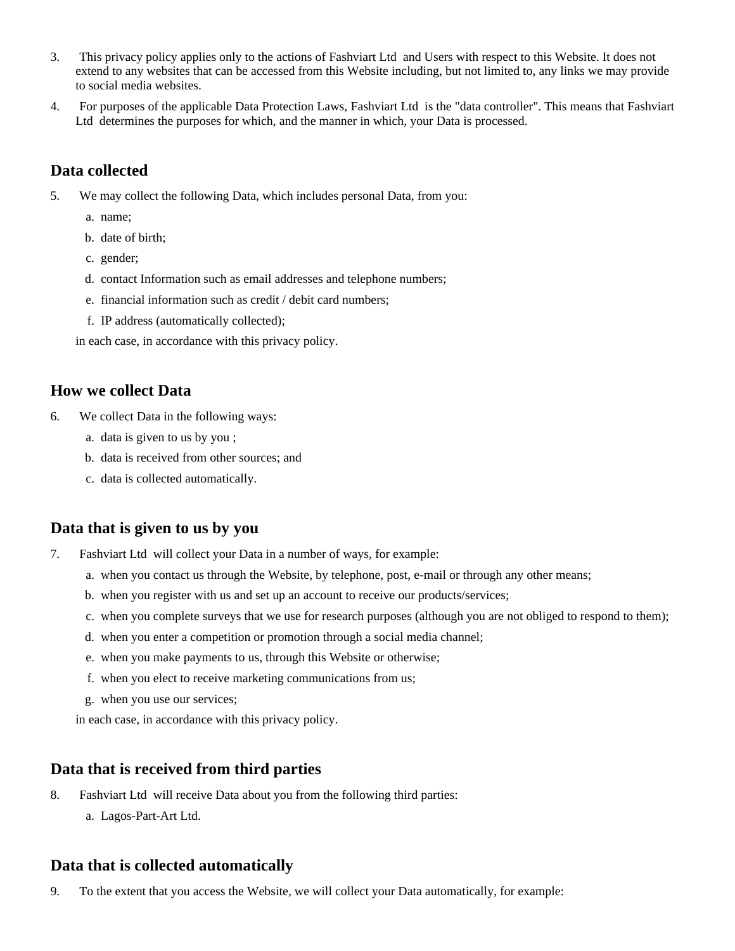- 3. This privacy policy applies only to the actions of Fashviart Ltd and Users with respect to this Website. It does not extend to any websites that can be accessed from this Website including, but not limited to, any links we may provide to social media websites.
- 4. For purposes of the applicable Data Protection Laws, Fashviart Ltd is the "data controller". This means that Fashviart Ltd determines the purposes for which, and the manner in which, your Data is processed.

## **Data collected**

- 5. We may collect the following Data, which includes personal Data, from you:
	- a. name;
	- b. date of birth;
	- c. gender;
	- d. contact Information such as email addresses and telephone numbers;
	- e. financial information such as credit / debit card numbers;
	- f. IP address (automatically collected);

in each case, in accordance with this privacy policy.

#### **How we collect Data**

- 6. We collect Data in the following ways:
	- a. data is given to us by you ;
	- b. data is received from other sources; and
	- c. data is collected automatically.

## **Data that is given to us by you**

- 7. Fashviart Ltd will collect your Data in a number of ways, for example:
	- a. when you contact us through the Website, by telephone, post, e-mail or through any other means;
	- b. when you register with us and set up an account to receive our products/services;
	- c. when you complete surveys that we use for research purposes (although you are not obliged to respond to them);
	- d. when you enter a competition or promotion through a social media channel;
	- e. when you make payments to us, through this Website or otherwise;
	- f. when you elect to receive marketing communications from us;
	- g. when you use our services;
	- in each case, in accordance with this privacy policy.

#### **Data that is received from third parties**

- 8. Fashviart Ltd will receive Data about you from the following third parties:
	- a. Lagos-Part-Art Ltd.

#### **Data that is collected automatically**

9. To the extent that you access the Website, we will collect your Data automatically, for example: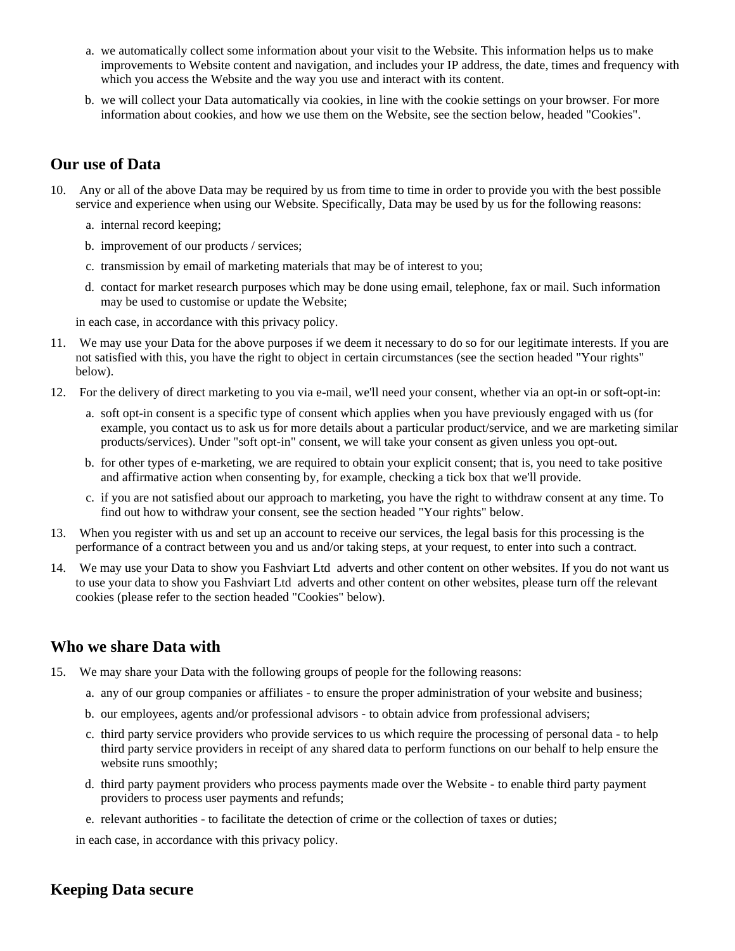- a. we automatically collect some information about your visit to the Website. This information helps us to make improvements to Website content and navigation, and includes your IP address, the date, times and frequency with which you access the Website and the way you use and interact with its content.
- b. we will collect your Data automatically via cookies, in line with the cookie settings on your browser. For more information about cookies, and how we use them on the Website, see the section below, headed "Cookies".

## **Our use of Data**

- 10. Any or all of the above Data may be required by us from time to time in order to provide you with the best possible service and experience when using our Website. Specifically, Data may be used by us for the following reasons:
	- a. internal record keeping;
	- b. improvement of our products / services;
	- c. transmission by email of marketing materials that may be of interest to you;
	- d. contact for market research purposes which may be done using email, telephone, fax or mail. Such information may be used to customise or update the Website;

in each case, in accordance with this privacy policy.

- 11. We may use your Data for the above purposes if we deem it necessary to do so for our legitimate interests. If you are not satisfied with this, you have the right to object in certain circumstances (see the section headed "Your rights" below).
- 12. For the delivery of direct marketing to you via e-mail, we'll need your consent, whether via an opt-in or soft-opt-in:
	- a. soft opt-in consent is a specific type of consent which applies when you have previously engaged with us (for example, you contact us to ask us for more details about a particular product/service, and we are marketing similar products/services). Under "soft opt-in" consent, we will take your consent as given unless you opt-out.
	- b. for other types of e-marketing, we are required to obtain your explicit consent; that is, you need to take positive and affirmative action when consenting by, for example, checking a tick box that we'll provide.
	- c. if you are not satisfied about our approach to marketing, you have the right to withdraw consent at any time. To find out how to withdraw your consent, see the section headed "Your rights" below.
- 13. When you register with us and set up an account to receive our services, the legal basis for this processing is the performance of a contract between you and us and/or taking steps, at your request, to enter into such a contract.
- 14. We may use your Data to show you Fashviart Ltd adverts and other content on other websites. If you do not want us to use your data to show you Fashviart Ltd adverts and other content on other websites, please turn off the relevant cookies (please refer to the section headed "Cookies" below).

## **Who we share Data with**

- 15. We may share your Data with the following groups of people for the following reasons:
	- a. any of our group companies or affiliates to ensure the proper administration of your website and business;
	- b. our employees, agents and/or professional advisors to obtain advice from professional advisers;
	- c. third party service providers who provide services to us which require the processing of personal data to help third party service providers in receipt of any shared data to perform functions on our behalf to help ensure the website runs smoothly;
	- d. third party payment providers who process payments made over the Website to enable third party payment providers to process user payments and refunds;
	- e. relevant authorities to facilitate the detection of crime or the collection of taxes or duties;

in each case, in accordance with this privacy policy.

## **Keeping Data secure**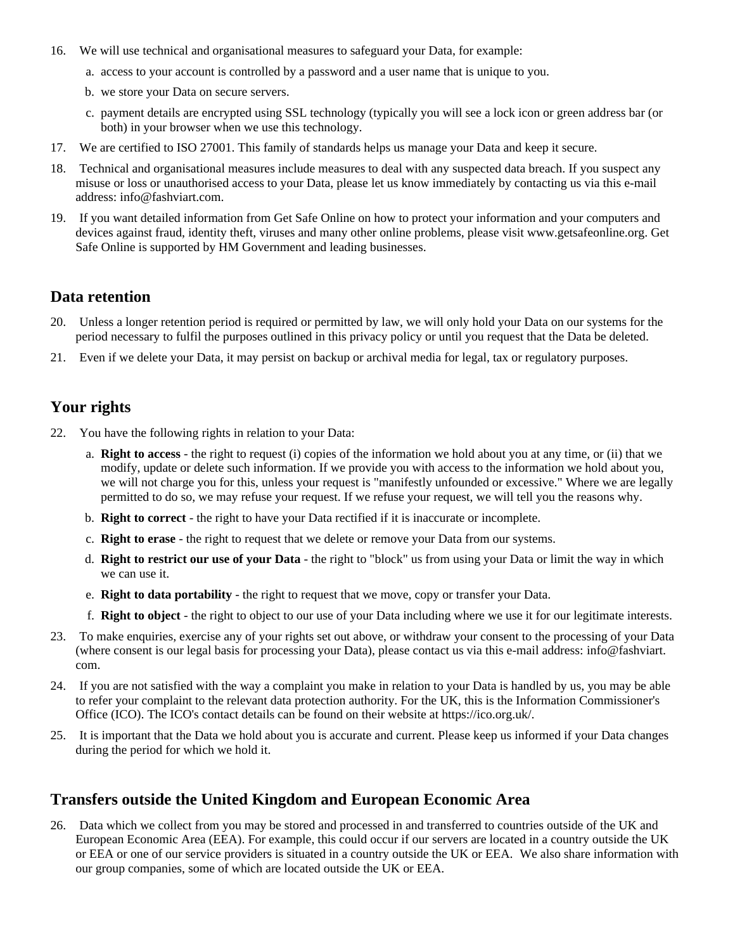- 16. We will use technical and organisational measures to safeguard your Data, for example:
	- a. access to your account is controlled by a password and a user name that is unique to you.
	- b. we store your Data on secure servers.
	- c. payment details are encrypted using SSL technology (typically you will see a lock icon or green address bar (or both) in your browser when we use this technology.
- 17. We are certified to ISO 27001. This family of standards helps us manage your Data and keep it secure.
- 18. Technical and organisational measures include measures to deal with any suspected data breach. If you suspect any misuse or loss or unauthorised access to your Data, please let us know immediately by contacting us via this e-mail address: info@fashviart.com.
- 19. If you want detailed information from Get Safe Online on how to protect your information and your computers and devices against fraud, identity theft, viruses and many other online problems, please visit www.getsafeonline.org. Get Safe Online is supported by HM Government and leading businesses.

## **Data retention**

- 20. Unless a longer retention period is required or permitted by law, we will only hold your Data on our systems for the period necessary to fulfil the purposes outlined in this privacy policy or until you request that the Data be deleted.
- 21. Even if we delete your Data, it may persist on backup or archival media for legal, tax or regulatory purposes.

## **Your rights**

- 22. You have the following rights in relation to your Data:
	- a. **Right to access** the right to request (i) copies of the information we hold about you at any time, or (ii) that we modify, update or delete such information. If we provide you with access to the information we hold about you, we will not charge you for this, unless your request is "manifestly unfounded or excessive." Where we are legally permitted to do so, we may refuse your request. If we refuse your request, we will tell you the reasons why.
	- b. **Right to correct** the right to have your Data rectified if it is inaccurate or incomplete.
	- c. **Right to erase** the right to request that we delete or remove your Data from our systems.
	- d. **Right to restrict our use of your Data** the right to "block" us from using your Data or limit the way in which we can use it.
	- e. **Right to data portability** the right to request that we move, copy or transfer your Data.
	- f. **Right to object** the right to object to our use of your Data including where we use it for our legitimate interests.
- 23. To make enquiries, exercise any of your rights set out above, or withdraw your consent to the processing of your Data (where consent is our legal basis for processing your Data), please contact us via this e-mail address: info@fashviart. com.
- 24. If you are not satisfied with the way a complaint you make in relation to your Data is handled by us, you may be able to refer your complaint to the relevant data protection authority. For the UK, this is the Information Commissioner's Office (ICO). The ICO's contact details can be found on their website at https://ico.org.uk/.
- 25. It is important that the Data we hold about you is accurate and current. Please keep us informed if your Data changes during the period for which we hold it.

## **Transfers outside the United Kingdom and European Economic Area**

26. Data which we collect from you may be stored and processed in and transferred to countries outside of the UK and European Economic Area (EEA). For example, this could occur if our servers are located in a country outside the UK or EEA or one of our service providers is situated in a country outside the UK or EEA. We also share information with our group companies, some of which are located outside the UK or EEA.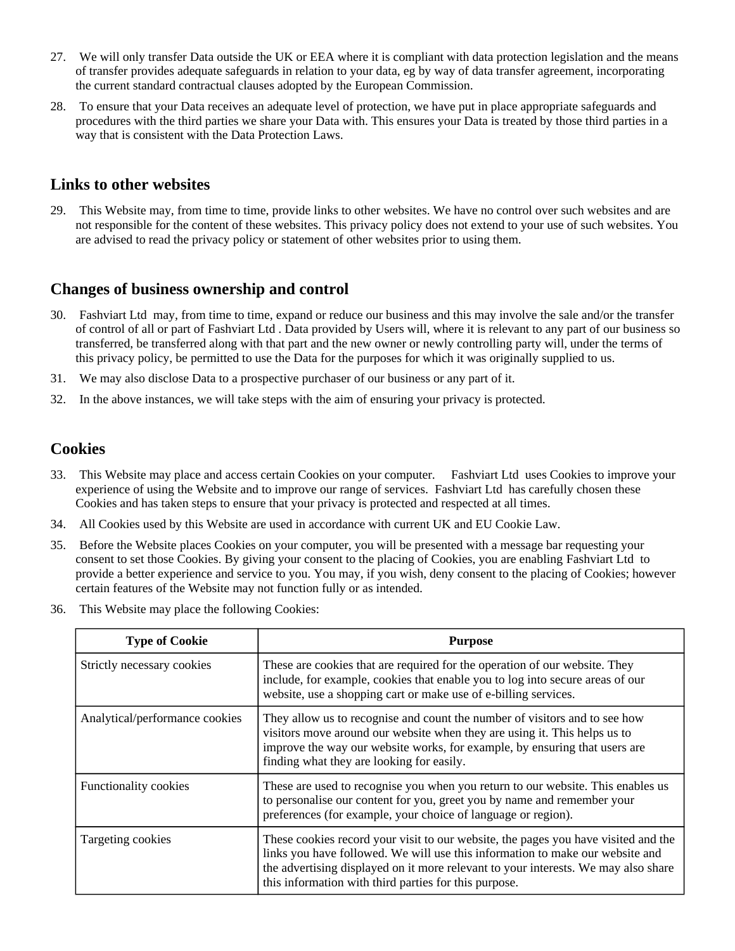- 27. We will only transfer Data outside the UK or EEA where it is compliant with data protection legislation and the means of transfer provides adequate safeguards in relation to your data, eg by way of data transfer agreement, incorporating the current standard contractual clauses adopted by the European Commission.
- 28. To ensure that your Data receives an adequate level of protection, we have put in place appropriate safeguards and procedures with the third parties we share your Data with. This ensures your Data is treated by those third parties in a way that is consistent with the Data Protection Laws.

#### **Links to other websites**

29. This Website may, from time to time, provide links to other websites. We have no control over such websites and are not responsible for the content of these websites. This privacy policy does not extend to your use of such websites. You are advised to read the privacy policy or statement of other websites prior to using them.

#### **Changes of business ownership and control**

- 30. Fashviart Ltd may, from time to time, expand or reduce our business and this may involve the sale and/or the transfer of control of all or part of Fashviart Ltd . Data provided by Users will, where it is relevant to any part of our business so transferred, be transferred along with that part and the new owner or newly controlling party will, under the terms of this privacy policy, be permitted to use the Data for the purposes for which it was originally supplied to us.
- 31. We may also disclose Data to a prospective purchaser of our business or any part of it.
- 32. In the above instances, we will take steps with the aim of ensuring your privacy is protected.

#### **Cookies**

- 33. This Website may place and access certain Cookies on your computer. Fashviart Ltd uses Cookies to improve your experience of using the Website and to improve our range of services. Fashviart Ltd has carefully chosen these Cookies and has taken steps to ensure that your privacy is protected and respected at all times.
- 34. All Cookies used by this Website are used in accordance with current UK and EU Cookie Law.
- 35. Before the Website places Cookies on your computer, you will be presented with a message bar requesting your consent to set those Cookies. By giving your consent to the placing of Cookies, you are enabling Fashviart Ltd to provide a better experience and service to you. You may, if you wish, deny consent to the placing of Cookies; however certain features of the Website may not function fully or as intended.
- 36. This Website may place the following Cookies:

| <b>Type of Cookie</b>          | <b>Purpose</b>                                                                                                                                                                                                                                                                                                     |
|--------------------------------|--------------------------------------------------------------------------------------------------------------------------------------------------------------------------------------------------------------------------------------------------------------------------------------------------------------------|
| Strictly necessary cookies     | These are cookies that are required for the operation of our website. They<br>include, for example, cookies that enable you to log into secure areas of our<br>website, use a shopping cart or make use of e-billing services.                                                                                     |
| Analytical/performance cookies | They allow us to recognise and count the number of visitors and to see how<br>visitors move around our website when they are using it. This helps us to<br>improve the way our website works, for example, by ensuring that users are<br>finding what they are looking for easily.                                 |
| Functionality cookies          | These are used to recognise you when you return to our website. This enables us<br>to personalise our content for you, greet you by name and remember your<br>preferences (for example, your choice of language or region).                                                                                        |
| Targeting cookies              | These cookies record your visit to our website, the pages you have visited and the<br>links you have followed. We will use this information to make our website and<br>the advertising displayed on it more relevant to your interests. We may also share<br>this information with third parties for this purpose. |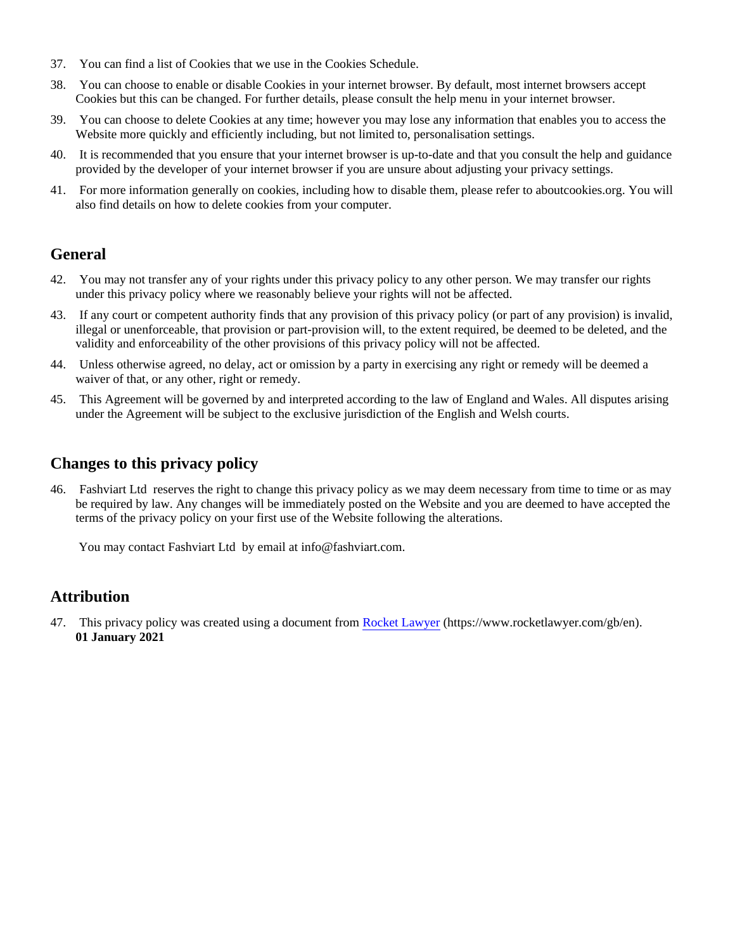- 37. You can find a list of Cookies that we use in the Cookies Schedule.
- 38. You can choose to enable or disable Cookies in your internet browser. By default, most internet browsers accept Cookies but this can be changed. For further details, please consult the help menu in your internet browser.
- 39. You can choose to delete Cookies at any time; however you may lose any information that enables you to access the Website more quickly and efficiently including, but not limited to, personalisation settings.
- 40. It is recommended that you ensure that your internet browser is up-to-date and that you consult the help and guidance provided by the developer of your internet browser if you are unsure about adjusting your privacy settings.
- 41. For more information generally on cookies, including how to disable them, please refer to aboutcookies.org. You will also find details on how to delete cookies from your computer.

## **General**

- 42. You may not transfer any of your rights under this privacy policy to any other person. We may transfer our rights under this privacy policy where we reasonably believe your rights will not be affected.
- 43. If any court or competent authority finds that any provision of this privacy policy (or part of any provision) is invalid, illegal or unenforceable, that provision or part-provision will, to the extent required, be deemed to be deleted, and the validity and enforceability of the other provisions of this privacy policy will not be affected.
- 44. Unless otherwise agreed, no delay, act or omission by a party in exercising any right or remedy will be deemed a waiver of that, or any other, right or remedy.
- 45. This Agreement will be governed by and interpreted according to the law of England and Wales. All disputes arising under the Agreement will be subject to the exclusive jurisdiction of the English and Welsh courts.

## **Changes to this privacy policy**

46. Fashviart Ltd reserves the right to change this privacy policy as we may deem necessary from time to time or as may be required by law. Any changes will be immediately posted on the Website and you are deemed to have accepted the terms of the privacy policy on your first use of the Website following the alterations.

You may contact Fashviart Ltd by email at info@fashviart.com.

#### **Attribution**

47. This privacy policy was created using a document from [Rocket Lawyer](https://www.rocketlawyer.com/gb/en/) (https://www.rocketlawyer.com/gb/en). **01 January 2021**